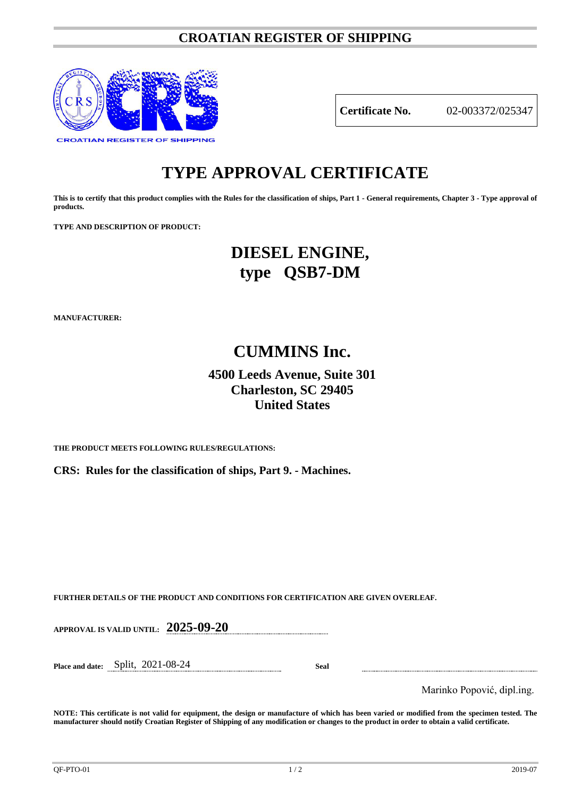# **CROATIAN REGISTER OF SHIPPING**



**Certificate No.** 02-003372/025347

# **TYPE APPROVAL CERTIFICATE**

**This is to certify that this product complies with the Rules for the classification of ships, Part 1 - General requirements, Chapter 3 - Type approval of products.**

**TYPE AND DESCRIPTION OF PRODUCT:** 

# **DIESEL ENGINE, type QSB7-DM**

**MANUFACTURER:**

# **CUMMINS Inc.**

# **4500 Leeds Avenue, Suite 301 Charleston, SC 29405 United States**

**THE PRODUCT MEETS FOLLOWING RULES/REGULATIONS:**

**CRS: Rules for the classification of ships, Part 9. - Machines.**

**FURTHER DETAILS OF THE PRODUCT AND CONDITIONS FOR CERTIFICATION ARE GIVEN OVERLEAF.**

**APPROVAL IS VALID UNTIL: 2025-09-20**

**Place and date:** Split, 2021-08-24 **Seal**

Marinko Popović, dipl.ing.

**NOTE: This certificate is not valid for equipment, the design or manufacture of which has been varied or modified from the specimen tested. The manufacturer should notify Croatian Register of Shipping of any modification or changes to the product in order to obtain a valid certificate.**